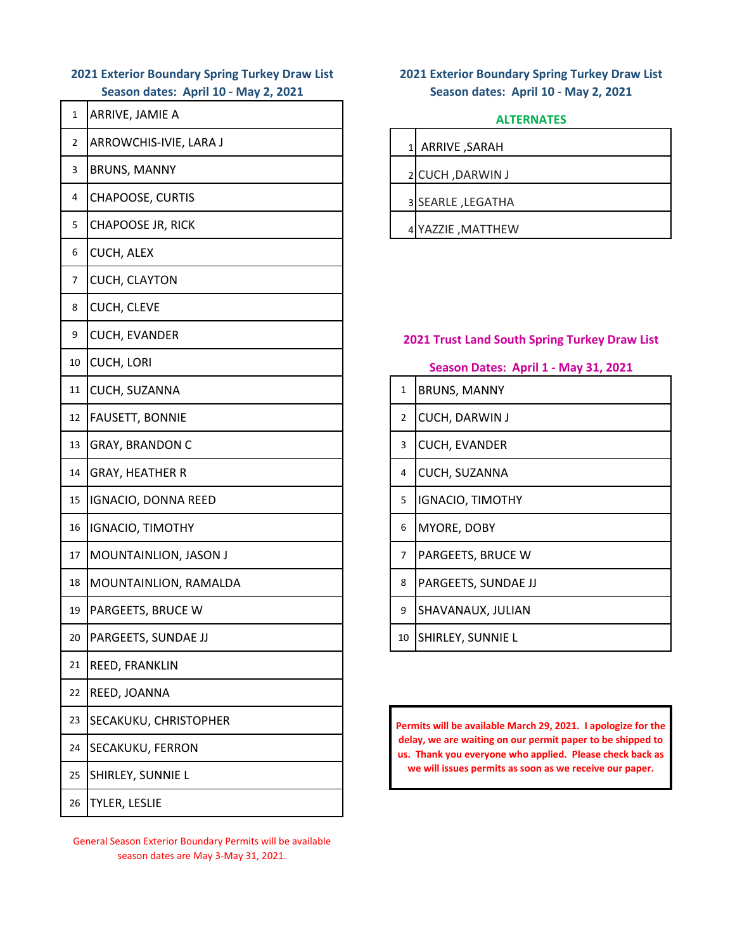## **2021 Exterior Boundary Spring Turkey Draw List Season dates: April 10 - May 2, 2021**

| $\mathbf{1}$ | ARRIVE, JAMIE A          |   | <b>ALTERN</b>                                                   |
|--------------|--------------------------|---|-----------------------------------------------------------------|
| 2            | ARROWCHIS-IVIE, LARA J   |   | 1 ARRIVE, SARAH                                                 |
| 3            | <b>BRUNS, MANNY</b>      |   | 2 CUCH, DARWIN J                                                |
| 4            | CHAPOOSE, CURTIS         |   | 3 SEARLE, LEGATHA                                               |
| 5            | <b>CHAPOOSE JR, RICK</b> |   | 4 YAZZIE , MATTHEW                                              |
| 6            | CUCH, ALEX               |   |                                                                 |
| 7            | CUCH, CLAYTON            |   |                                                                 |
| 8            | CUCH, CLEVE              |   |                                                                 |
| 9            | <b>CUCH, EVANDER</b>     |   | 2021 Trust Land South S                                         |
| 10           | <b>CUCH, LORI</b>        |   | <b>Season Dates: April</b>                                      |
| 11           | CUCH, SUZANNA            | 1 | <b>BRUNS, MANNY</b>                                             |
| 12           | FAUSETT, BONNIE          | 2 | CUCH, DARWIN J                                                  |
| 13           | <b>GRAY, BRANDON C</b>   | 3 | CUCH, EVANDER                                                   |
| 14           | <b>GRAY, HEATHER R</b>   | 4 | CUCH, SUZANNA                                                   |
| 15           | IGNACIO, DONNA REED      | 5 | <b>IGNACIO, TIMOTHY</b>                                         |
| 16           | <b>IGNACIO, TIMOTHY</b>  | 6 | MYORE, DOBY                                                     |
| 17           | MOUNTAINLION, JASON J    | 7 | PARGEETS, BRUCE W                                               |
| 18           | MOUNTAINLION, RAMALDA    | 8 | PARGEETS, SUNDAE JJ                                             |
| 19           | PARGEETS, BRUCE W        | 9 | SHAVANAUX, JULIAN                                               |
| 20           | PARGEETS, SUNDAE JJ      |   | 10 SHIRLEY, SUNNIE L                                            |
| 21           | REED, FRANKLIN           |   |                                                                 |
| 22           | REED, JOANNA             |   |                                                                 |
| 23           | SECAKUKU, CHRISTOPHER    |   | <b>Permits will be available March</b>                          |
| 24           | SECAKUKU, FERRON         |   | delay, we are waiting on our pe<br>us. Thank you everyone who a |
| 25           | SHIRLEY, SUNNIE L        |   | we will issues permits as soo                                   |
| 26           | TYLER, LESLIE            |   |                                                                 |

General Season Exterior Boundary Permits will be available season dates are May 3-May 31, 2021.

## **2021 Exterior Boundary Spring Turkey Draw List Season dates: April 10 - May 2, 2021**

#### **ALTERNATES**

| ARRIVE, SARAH     |
|-------------------|
|                   |
| 2 CUCH, DARWIN J  |
|                   |
| 3 SEARLE, LEGATHA |
|                   |
| 4 YAZZIE, MATTHEW |

### **2021 Trust Land South Spring Turkey Draw List**

| Season Dates: April 1 - May 31, 2021 |  |
|--------------------------------------|--|
|--------------------------------------|--|

| $\mathbf{1}$   | <b>BRUNS, MANNY</b>        |
|----------------|----------------------------|
| $\overline{2}$ | <b>CUCH, DARWIN J</b>      |
| 3              | <b>CUCH, EVANDER</b>       |
| 4              | CUCH, SUZANNA              |
| 5              | <b>IGNACIO, TIMOTHY</b>    |
| 6              | MYORE, DOBY                |
| $\overline{7}$ | PARGEETS, BRUCE W          |
| 8              | <b>PARGEETS, SUNDAE JJ</b> |
| 9              | SHAVANAUX, JULIAN          |
| 10             | SHIRLEY, SUNNIE L          |

**Permits will be available March 29, 2021. I apologize for the delay, we are waiting on our permit paper to be shipped to us. Thank you everyone who applied. Please check back as we will issues permits as soon as we receive our paper.**